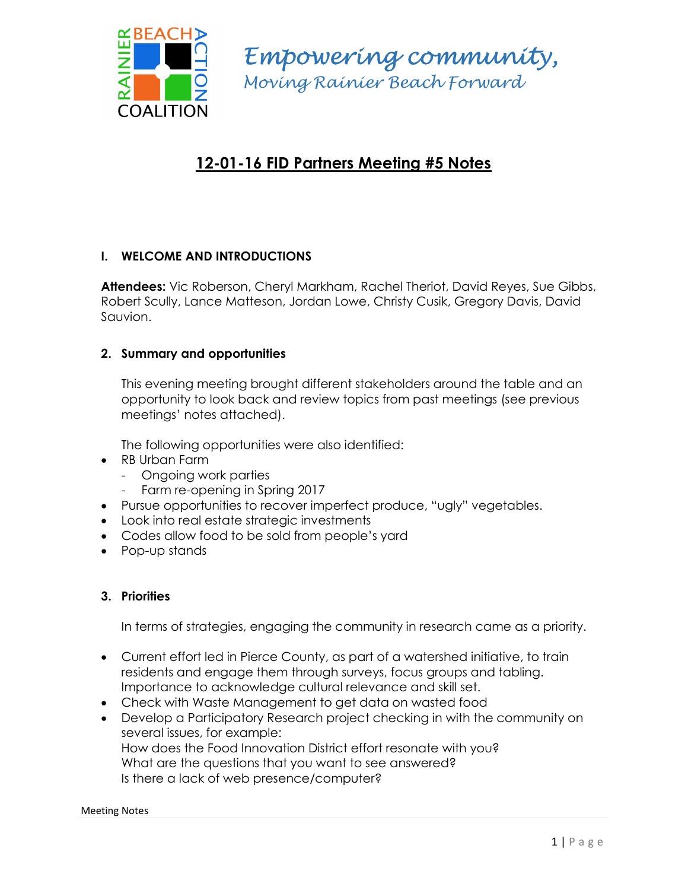

Empowering community, Moving Rainier Beach Forward

# 12-01-16 FID Partners Meeting #5 Notes

# I. WELCOME AND INTRODUCTIONS

Attendees: Vic Roberson, Cheryl Markham, Rachel Theriot, David Reyes, Sue Gibbs, Robert Scully, Lance Matteson, Jordan Lowe, Christy Cusik, Gregory Davis, David Sauvion.

### 2. Summary and opportunities

This evening meeting brought different stakeholders around the table and an opportunity to look back and review topics from past meetings (see previous meetings' notes attached).

The following opportunities were also identified:

- RB Urban Farm
	- Ongoing work parties
	- Farm re-opening in Spring 2017
- Pursue opportunities to recover imperfect produce, "ugly" vegetables.
- Look into real estate strategic investments
- Codes allow food to be sold from people's yard
- Pop-up stands

### 3. Priorities

In terms of strategies, engaging the community in research came as a priority.

- Current effort led in Pierce County, as part of a watershed initiative, to train residents and engage them through surveys, focus groups and tabling. Importance to acknowledge cultural relevance and skill set.
- Check with Waste Management to get data on wasted food
- Develop a Participatory Research project checking in with the community on several issues, for example: How does the Food Innovation District effort resonate with you? What are the questions that you want to see answered? Is there a lack of web presence/computer?